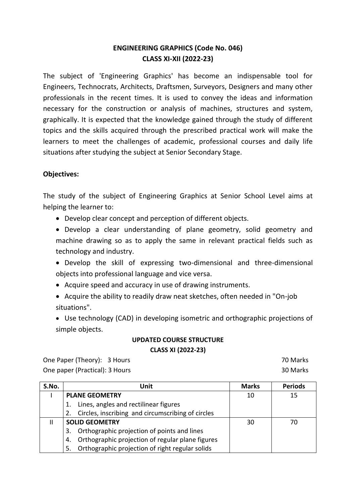# **ENGINEERING GRAPHICS (Code No. 046) CLASS XI-XII (2022-23)**

The subject of 'Engineering Graphics' has become an indispensable tool for Engineers, Technocrats, Architects, Draftsmen, Surveyors, Designers and many other professionals in the recent times. It is used to convey the ideas and information necessary for the construction or analysis of machines, structures and system, graphically. It is expected that the knowledge gained through the study of different topics and the skills acquired through the prescribed practical work will make the learners to meet the challenges of academic, professional courses and daily life situations after studying the subject at Senior Secondary Stage.

# **Objectives:**

The study of the subject of Engineering Graphics at Senior School Level aims at helping the learner to:

Develop clear concept and perception of different objects.

 Develop a clear understanding of plane geometry, solid geometry and machine drawing so as to apply the same in relevant practical fields such as technology and industry.

 Develop the skill of expressing two-dimensional and three-dimensional objects into professional language and vice versa.

- Acquire speed and accuracy in use of drawing instruments.
- Acquire the ability to readily draw neat sketches, often needed in "On-job situations".
- Use technology (CAD) in developing isometric and orthographic projections of simple objects.

# **UPDATED COURSE STRUCTURE CLASS XI (2022-23)**

One Paper (Theory): 3 Hours 70 Marks One paper (Practical): 3 Hours 30 Marks

| S.No. | Unit                                                   | <b>Marks</b> | <b>Periods</b> |
|-------|--------------------------------------------------------|--------------|----------------|
|       | <b>PLANE GEOMETRY</b>                                  | 10           | 15             |
|       | Lines, angles and rectilinear figures<br>1.            |              |                |
|       | Circles, inscribing and circumscribing of circles      |              |                |
| Ш     | <b>SOLID GEOMETRY</b>                                  | 30           | 70             |
|       | Orthographic projection of points and lines<br>3.      |              |                |
|       | Orthographic projection of regular plane figures<br>4. |              |                |
|       | Orthographic projection of right regular solids<br>5.  |              |                |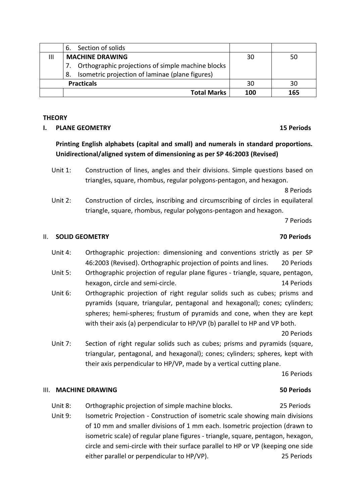|                   | Section of solids<br>6.                               |     |     |
|-------------------|-------------------------------------------------------|-----|-----|
| Ш                 | <b>MACHINE DRAWING</b>                                | 30  | 50  |
|                   | Orthographic projections of simple machine blocks     |     |     |
|                   | Isometric projection of laminae (plane figures)<br>8. |     |     |
| <b>Practicals</b> |                                                       | 30  | 30  |
|                   | <b>Total Marks</b>                                    | 100 | 165 |

## **THEORY**

## **I. PLANE GEOMETRY 15 Periods**

# **Printing English alphabets (capital and small) and numerals in standard proportions. Unidirectional/aligned system of dimensioning as per SP 46:2003 (Revised)**

Unit 1: Construction of lines, angles and their divisions. Simple questions based on triangles, square, rhombus, regular polygons-pentagon, and hexagon.

8 Periods

Unit 2: Construction of circles, inscribing and circumscribing of circles in equilateral triangle, square, rhombus, regular polygons-pentagon and hexagon.

7 Periods

### II. **SOLID GEOMETRY 70 Periods**

- Unit 4: Orthographic projection: dimensioning and conventions strictly as per SP 46:2003 (Revised). Orthographic projection of points and lines. 20 Periods
- Unit 5: Orthographic projection of regular plane figures triangle, square, pentagon, hexagon, circle and semi-circle. 14 Periods 14 Periods
- Unit 6: Orthographic projection of right regular solids such as cubes; prisms and pyramids (square, triangular, pentagonal and hexagonal); cones; cylinders; spheres; hemi-spheres; frustum of pyramids and cone, when they are kept with their axis (a) perpendicular to HP/VP (b) parallel to HP and VP both.

20 Periods

Unit 7: Section of right regular solids such as cubes; prisms and pyramids (square, triangular, pentagonal, and hexagonal); cones; cylinders; spheres, kept with their axis perpendicular to HP/VP, made by a vertical cutting plane.

16 Periods

## III. **MACHINE DRAWING 50 Periods**

- Unit 8: Orthographic projection of simple machine blocks. 25 Periods
- Unit 9: Isometric Projection Construction of isometric scale showing main divisions of 10 mm and smaller divisions of 1 mm each. Isometric projection (drawn to isometric scale) of regular plane figures - triangle, square, pentagon, hexagon, circle and semi-circle with their surface parallel to HP or VP (keeping one side either parallel or perpendicular to HP/VP). 25 Periods

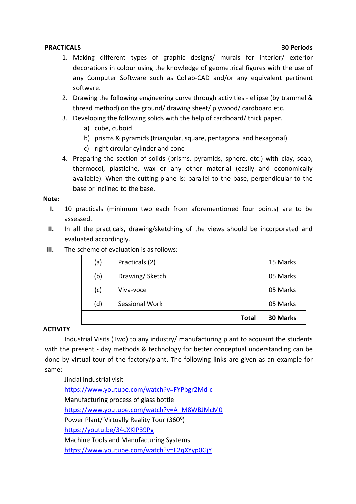## **PRACTICALS 30 Periods**

- 1. Making different types of graphic designs/ murals for interior/ exterior decorations in colour using the knowledge of geometrical figures with the use of any Computer Software such as Collab-CAD and/or any equivalent pertinent software.
- 2. Drawing the following engineering curve through activities ellipse (by trammel & thread method) on the ground/ drawing sheet/ plywood/ cardboard etc.
- 3. Developing the following solids with the help of cardboard/ thick paper.
	- a) cube, cuboid
	- b) prisms & pyramids (triangular, square, pentagonal and hexagonal)
	- c) right circular cylinder and cone
- 4. Preparing the section of solids (prisms, pyramids, sphere, etc.) with clay, soap, thermocol, plasticine, wax or any other material (easily and economically available). When the cutting plane is: parallel to the base, perpendicular to the base or inclined to the base.

## **Note:**

- **I.** 10 practicals (minimum two each from aforementioned four points) are to be assessed.
- **II.** In all the practicals, drawing/sketching of the views should be incorporated and evaluated accordingly.
- **III.** The scheme of evaluation is as follows:

| (a) | Practicals (2) | 15 Marks        |
|-----|----------------|-----------------|
| (b) | Drawing/Sketch | 05 Marks        |
| (c) | Viva-voce      | 05 Marks        |
| (d) | Sessional Work | 05 Marks        |
|     | <b>Total</b>   | <b>30 Marks</b> |

## **ACTIVITY**

Industrial Visits (Two) to any industry/ manufacturing plant to acquaint the students with the present - day methods & technology for better conceptual understanding can be done by virtual tour of the factory/plant. The following links are given as an example for same:

Jindal Industrial visit <https://www.youtube.com/watch?v=FYPbgr2Md-c> Manufacturing process of glass bottle [https://www.youtube.com/watch?v=A\\_M8WBJMcM0](https://www.youtube.com/watch?v=A_M8WBJMcM0) Power Plant/ Virtually Reality Tour (360<sup>0</sup>) <https://youtu.be/34cXKIP39Pg> Machine Tools and Manufacturing Systems <https://www.youtube.com/watch?v=F2qXYyp0GjY>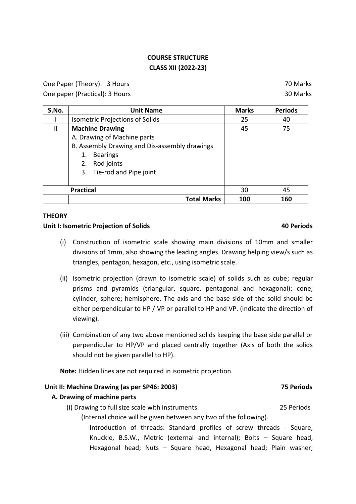# **COURSE STRUCTURE CLASS XII (2022-23)**

One Paper (Theory): 3 Hours 70 Marks

One paper (Practical): 3 Hours 30 Marks

| S.No. | <b>Unit Name</b>                              | <b>Marks</b> | <b>Periods</b> |
|-------|-----------------------------------------------|--------------|----------------|
|       | <b>Isometric Projections of Solids</b>        | 25           | 40             |
| Ш     | <b>Machine Drawing</b>                        | 45           | 75             |
|       | A. Drawing of Machine parts                   |              |                |
|       | B. Assembly Drawing and Dis-assembly drawings |              |                |
|       | <b>Bearings</b><br>1.                         |              |                |
|       | 2. Rod joints                                 |              |                |
|       | 3. Tie-rod and Pipe joint                     |              |                |
|       |                                               |              |                |
|       | <b>Practical</b>                              | 30           | 45             |
|       | <b>Total Marks</b>                            | 100          | 160            |

## **THEORY**

## **Unit I: Isometric Projection of Solids 40 Periods**

- (i) Construction of isometric scale showing main divisions of 10mm and smaller divisions of 1mm, also showing the leading angles. Drawing helping view/s such as triangles, pentagon, hexagon, etc., using isometric scale.
- (ii) Isometric projection (drawn to isometric scale) of solids such as cube; regular prisms and pyramids (triangular, square, pentagonal and hexagonal); cone; cylinder; sphere; hemisphere. The axis and the base side of the solid should be either perpendicular to HP / VP or parallel to HP and VP. (Indicate the direction of viewing).
- (iii) Combination of any two above mentioned solids keeping the base side parallel or perpendicular to HP/VP and placed centrally together (Axis of both the solids should not be given parallel to HP).

**Note:** Hidden lines are not required in isometric projection.

## **Unit II: Machine Drawing (as per SP46: 2003) 75 Periods**

# **A. Drawing of machine parts**

(i) Drawing to full size scale with instruments. 25 Periods

(Internal choice will be given between any two of the following). Introduction of threads: Standard profiles of screw threads - Square, Knuckle, B.S.W., Metric (external and internal); Bolts – Square head, Hexagonal head; Nuts – Square head, Hexagonal head; Plain washer;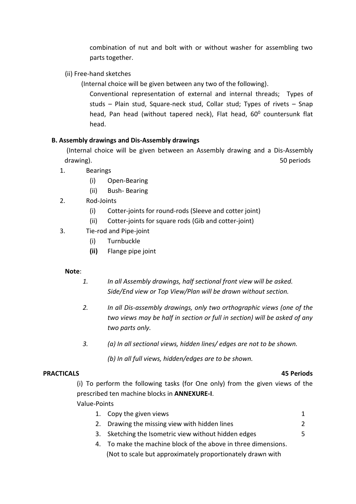combination of nut and bolt with or without washer for assembling two parts together.

- (ii) Free-hand sketches
	- (Internal choice will be given between any two of the following).

Conventional representation of external and internal threads; Types of studs – Plain stud, Square-neck stud, Collar stud; Types of rivets – Snap head, Pan head (without tapered neck), Flat head, 60<sup>0</sup> countersunk flat head.

## **B. Assembly drawings and Dis-Assembly drawings**

(Internal choice will be given between an Assembly drawing and a Dis-Assembly drawing). Solution to the contract of the contract of the contract of the contract of the contract of the contract of the contract of the contract of the contract of the contract of the contract of the contract of the cont

- 1. Bearings
	- (i) Open-Bearing
	- (ii) Bush- Bearing
- 2. Rod-Joints
	- (i) Cotter-joints for round-rods (Sleeve and cotter joint)
	- (ii) Cotter-joints for square rods (Gib and cotter-joint)
- 3. Tie-rod and Pipe-joint
	- (i) Turnbuckle
	- **(ii)** Flange pipe joint

## **Note**:

- *1. In all Assembly drawings, half sectional front view will be asked. Side/End view or Top View/Plan will be drawn without section.*
- *2. In all Dis-assembly drawings, only two orthographic views (one of the two views may be half in section or full in section) will be asked of any two parts only.*
- *3. (a) In all sectional views, hidden lines/ edges are not to be shown.*
	- *(b) In all full views, hidden/edges are to be shown.*

## **PRACTICALS 45 Periods**

(i) To perform the following tasks (for One only) from the given views of the prescribed ten machine blocks in **ANNEXURE-I**.

# Value-Points

- 1. Copy the given views 1 2. Drawing the missing view with hidden lines 2
- 3. Sketching the Isometric view without hidden edges 5
- 4. To make the machine block of the above in three dimensions. (Not to scale but approximately proportionately drawn with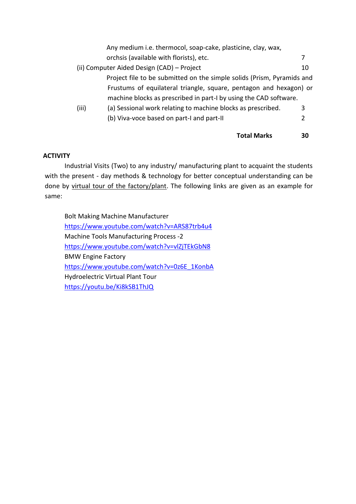|       | Any medium i.e. thermocol, soap-cake, plasticine, clay, wax,           |    |
|-------|------------------------------------------------------------------------|----|
|       | orchsis (available with florists), etc.                                |    |
|       | (ii) Computer Aided Design (CAD) - Project                             | 10 |
|       | Project file to be submitted on the simple solids (Prism, Pyramids and |    |
|       | Frustums of equilateral triangle, square, pentagon and hexagon) or     |    |
|       | machine blocks as prescribed in part-I by using the CAD software.      |    |
| (iii) | (a) Sessional work relating to machine blocks as prescribed.           | 3  |
|       | (b) Viva-voce based on part-I and part-II                              | 2  |
|       |                                                                        |    |

# **Total Marks 30**

# **ACTIVITY**

Industrial Visits (Two) to any industry/ manufacturing plant to acquaint the students with the present - day methods & technology for better conceptual understanding can be done by virtual tour of the factory/plant. The following links are given as an example for same:

Bolt Making Machine Manufacturer <https://www.youtube.com/watch?v=ARS87trb4u4> Machine Tools Manufacturing Process -2 <https://www.youtube.com/watch?v=vlZjTEkGbN8> BMW Engine Factory [https://www.youtube.com/watch?v=0z6E\\_1KonbA](https://www.youtube.com/watch?v=0z6E_1KonbA) Hydroelectric Virtual Plant Tour <https://youtu.be/Ki8kSB1ThJQ>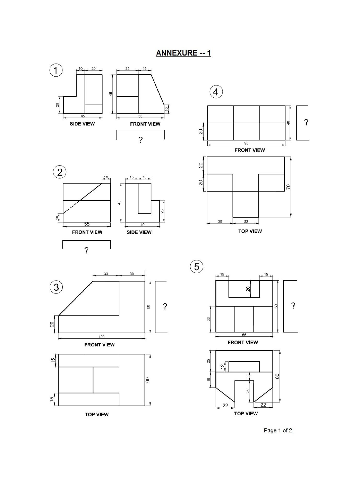ANNEXURE -- 1



Page 1 of 2